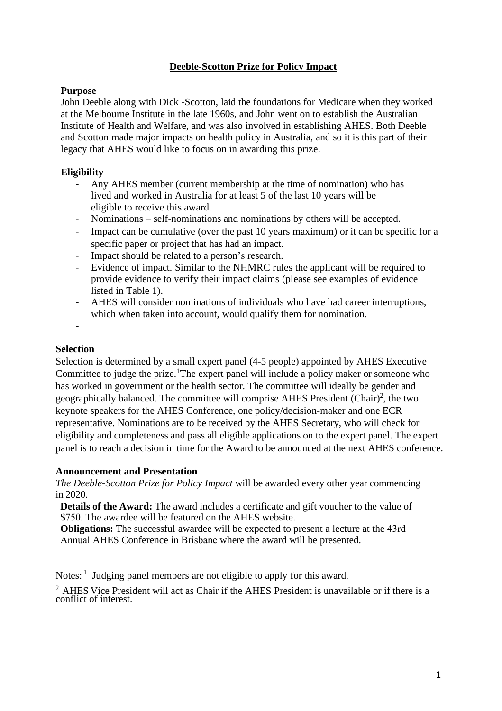# **Deeble-Scotton Prize for Policy Impact**

## **Purpose**

John Deeble along with Dick -Scotton, laid the foundations for Medicare when they worked at the Melbourne Institute in the late 1960s, and John went on to establish the Australian Institute of Health and Welfare, and was also involved in establishing AHES. Both Deeble and Scotton made major impacts on health policy in Australia, and so it is this part of their legacy that AHES would like to focus on in awarding this prize.

# **Eligibility**

- Any AHES member (current membership at the time of nomination) who has lived and worked in Australia for at least 5 of the last 10 years will be eligible to receive this award.
- Nominations self-nominations and nominations by others will be accepted.
- Impact can be cumulative (over the past 10 years maximum) or it can be specific for a specific paper or project that has had an impact.
- Impact should be related to a person's research.
- Evidence of impact. Similar to the NHMRC rules the applicant will be required to provide evidence to verify their impact claims (please see examples of evidence listed in Table 1).
- AHES will consider nominations of individuals who have had career interruptions, which when taken into account, would qualify them for nomination.

#### **Selection**

-

Selection is determined by a small expert panel (4-5 people) appointed by AHES Executive Committee to judge the prize.<sup>1</sup>The expert panel will include a policy maker or someone who has worked in government or the health sector. The committee will ideally be gender and geographically balanced. The committee will comprise AHES President  $(Chair)^2$ , the two keynote speakers for the AHES Conference, one policy/decision-maker and one ECR representative. Nominations are to be received by the AHES Secretary, who will check for eligibility and completeness and pass all eligible applications on to the expert panel. The expert panel is to reach a decision in time for the Award to be announced at the next AHES conference.

#### **Announcement and Presentation**

*The Deeble-Scotton Prize for Policy Impact* will be awarded every other year commencing in 2020.

**Details of the Award:** The award includes a certificate and gift voucher to the value of \$750. The awardee will be featured on the AHES website.

**Obligations:** The successful awardee will be expected to present a lecture at the 43rd Annual AHES Conference in Brisbane where the award will be presented.

Notes:  $\frac{1}{1}$  Judging panel members are not eligible to apply for this award.

<sup>2</sup> AHES Vice President will act as Chair if the AHES President is unavailable or if there is a conflict of interest.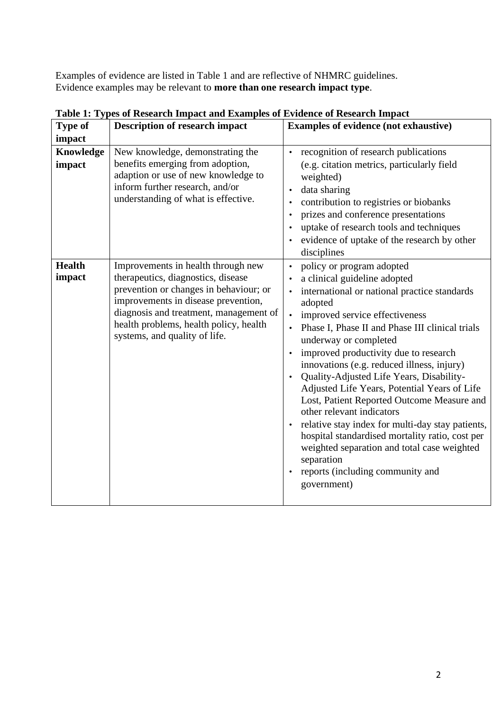Examples of evidence are listed in Table 1 and are reflective of NHMRC guidelines. Evidence examples may be relevant to **more than one research impact type**.

| <b>Type of</b>          | <b>Description of research impact</b>                                                                                                                                                                                                                                          | <b>Examples of evidence (not exhaustive)</b>                                                                                                                                                                                                                                                                                                                                                                                                                                                                                                                                                                                                                                                                                                      |
|-------------------------|--------------------------------------------------------------------------------------------------------------------------------------------------------------------------------------------------------------------------------------------------------------------------------|---------------------------------------------------------------------------------------------------------------------------------------------------------------------------------------------------------------------------------------------------------------------------------------------------------------------------------------------------------------------------------------------------------------------------------------------------------------------------------------------------------------------------------------------------------------------------------------------------------------------------------------------------------------------------------------------------------------------------------------------------|
| impact                  |                                                                                                                                                                                                                                                                                |                                                                                                                                                                                                                                                                                                                                                                                                                                                                                                                                                                                                                                                                                                                                                   |
| Knowledge<br>impact     | New knowledge, demonstrating the<br>benefits emerging from adoption,<br>adaption or use of new knowledge to<br>inform further research, and/or<br>understanding of what is effective.                                                                                          | recognition of research publications<br>$\bullet$<br>(e.g. citation metrics, particularly field<br>weighted)<br>data sharing<br>$\bullet$<br>contribution to registries or biobanks<br>$\bullet$<br>prizes and conference presentations<br>$\bullet$<br>uptake of research tools and techniques<br>evidence of uptake of the research by other<br>disciplines                                                                                                                                                                                                                                                                                                                                                                                     |
| <b>Health</b><br>impact | Improvements in health through new<br>therapeutics, diagnostics, disease<br>prevention or changes in behaviour; or<br>improvements in disease prevention,<br>diagnosis and treatment, management of<br>health problems, health policy, health<br>systems, and quality of life. | policy or program adopted<br>$\bullet$<br>a clinical guideline adopted<br>international or national practice standards<br>adopted<br>improved service effectiveness<br>Phase I, Phase II and Phase III clinical trials<br>$\bullet$<br>underway or completed<br>improved productivity due to research<br>innovations (e.g. reduced illness, injury)<br>Quality-Adjusted Life Years, Disability-<br>Adjusted Life Years, Potential Years of Life<br>Lost, Patient Reported Outcome Measure and<br>other relevant indicators<br>relative stay index for multi-day stay patients,<br>hospital standardised mortality ratio, cost per<br>weighted separation and total case weighted<br>separation<br>reports (including community and<br>government) |

**Table 1: Types of Research Impact and Examples of Evidence of Research Impact**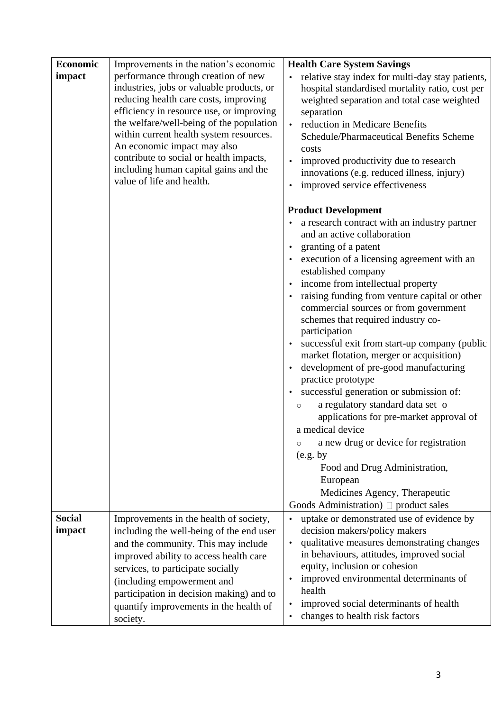| Economic      | Improvements in the nation's economic                                                                                                                                                                                                                                                                                                                                                                        | <b>Health Care System Savings</b>                                                                                                                                                                                                                                                                                                                                                                                                                                                                                                                                                                                                                                                                                                                                                                                                |
|---------------|--------------------------------------------------------------------------------------------------------------------------------------------------------------------------------------------------------------------------------------------------------------------------------------------------------------------------------------------------------------------------------------------------------------|----------------------------------------------------------------------------------------------------------------------------------------------------------------------------------------------------------------------------------------------------------------------------------------------------------------------------------------------------------------------------------------------------------------------------------------------------------------------------------------------------------------------------------------------------------------------------------------------------------------------------------------------------------------------------------------------------------------------------------------------------------------------------------------------------------------------------------|
| impact        | performance through creation of new<br>industries, jobs or valuable products, or<br>reducing health care costs, improving<br>efficiency in resource use, or improving<br>the welfare/well-being of the population<br>within current health system resources.<br>An economic impact may also<br>contribute to social or health impacts,<br>including human capital gains and the<br>value of life and health. | relative stay index for multi-day stay patients,<br>hospital standardised mortality ratio, cost per<br>weighted separation and total case weighted<br>separation<br>reduction in Medicare Benefits<br>Schedule/Pharmaceutical Benefits Scheme<br>costs<br>improved productivity due to research<br>innovations (e.g. reduced illness, injury)<br>improved service effectiveness                                                                                                                                                                                                                                                                                                                                                                                                                                                  |
|               |                                                                                                                                                                                                                                                                                                                                                                                                              | <b>Product Development</b><br>a research contract with an industry partner<br>and an active collaboration<br>granting of a patent<br>execution of a licensing agreement with an<br>established company<br>income from intellectual property<br>raising funding from venture capital or other<br>commercial sources or from government<br>schemes that required industry co-<br>participation<br>successful exit from start-up company (public<br>market flotation, merger or acquisition)<br>development of pre-good manufacturing<br>practice prototype<br>· successful generation or submission of:<br>a regulatory standard data set o<br>$\circ$<br>applications for pre-market approval of<br>a medical device<br>a new drug or device for registration<br>$\circ$<br>(e.g. by<br>Food and Drug Administration,<br>European |
|               |                                                                                                                                                                                                                                                                                                                                                                                                              | Medicines Agency, Therapeutic<br>Goods Administration) $\Box$ product sales                                                                                                                                                                                                                                                                                                                                                                                                                                                                                                                                                                                                                                                                                                                                                      |
| <b>Social</b> | Improvements in the health of society,                                                                                                                                                                                                                                                                                                                                                                       | uptake or demonstrated use of evidence by                                                                                                                                                                                                                                                                                                                                                                                                                                                                                                                                                                                                                                                                                                                                                                                        |
| impact        | including the well-being of the end user<br>and the community. This may include<br>improved ability to access health care<br>services, to participate socially<br>(including empowerment and<br>participation in decision making) and to<br>quantify improvements in the health of<br>society.                                                                                                               | decision makers/policy makers<br>qualitative measures demonstrating changes<br>in behaviours, attitudes, improved social<br>equity, inclusion or cohesion<br>improved environmental determinants of<br>$\bullet$<br>health<br>improved social determinants of health<br>changes to health risk factors                                                                                                                                                                                                                                                                                                                                                                                                                                                                                                                           |